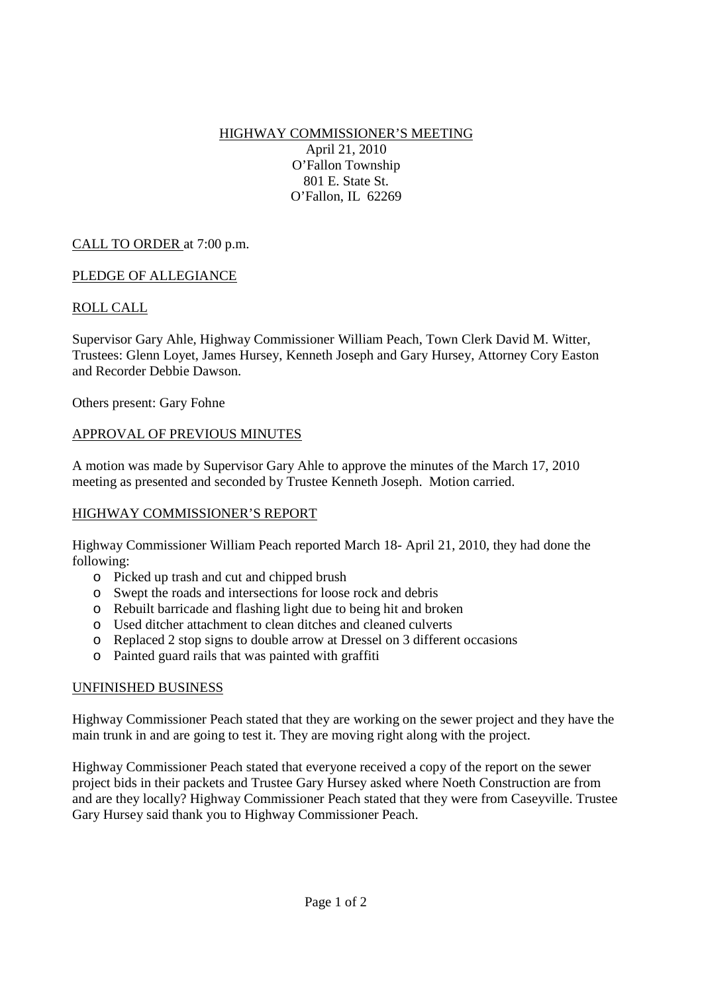HIGHWAY COMMISSIONER'S MEETING April 21, 2010 O'Fallon Township 801 E. State St. O'Fallon, IL 62269

# CALL TO ORDER at 7:00 p.m.

## PLEDGE OF ALLEGIANCE

## ROLL CALL

Supervisor Gary Ahle, Highway Commissioner William Peach, Town Clerk David M. Witter, Trustees: Glenn Loyet, James Hursey, Kenneth Joseph and Gary Hursey, Attorney Cory Easton and Recorder Debbie Dawson.

Others present: Gary Fohne

#### APPROVAL OF PREVIOUS MINUTES

A motion was made by Supervisor Gary Ahle to approve the minutes of the March 17, 2010 meeting as presented and seconded by Trustee Kenneth Joseph. Motion carried.

#### HIGHWAY COMMISSIONER'S REPORT

Highway Commissioner William Peach reported March 18- April 21, 2010, they had done the following:

- o Picked up trash and cut and chipped brush
- o Swept the roads and intersections for loose rock and debris
- o Rebuilt barricade and flashing light due to being hit and broken
- o Used ditcher attachment to clean ditches and cleaned culverts
- o Replaced 2 stop signs to double arrow at Dressel on 3 different occasions
- o Painted guard rails that was painted with graffiti

#### UNFINISHED BUSINESS

Highway Commissioner Peach stated that they are working on the sewer project and they have the main trunk in and are going to test it. They are moving right along with the project.

Highway Commissioner Peach stated that everyone received a copy of the report on the sewer project bids in their packets and Trustee Gary Hursey asked where Noeth Construction are from and are they locally? Highway Commissioner Peach stated that they were from Caseyville. Trustee Gary Hursey said thank you to Highway Commissioner Peach.